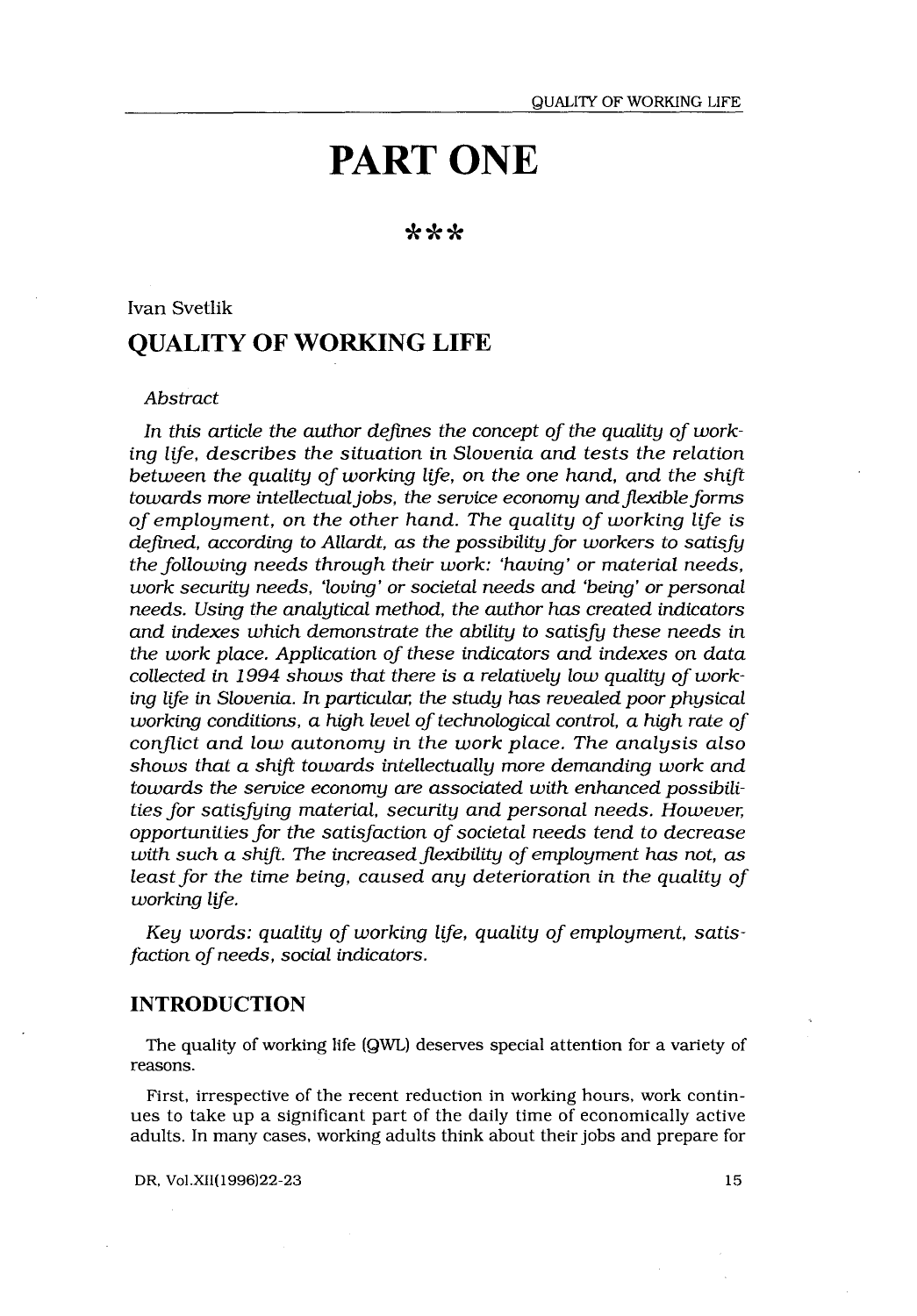# PART ONE

# \*\*\*

# Ivan Svetlik QUALITY OF WORKING LIFE

# Abstract

In this article the author defines the concept of the quality of working life, describes the situation in Slovenia and tests the relation between the quality of working life, on the one hand, and the shift towards more intellectual jobs, the service economy and flexible forms of employment, on the other hand. The quality of working life is defined, according to Allardt, as the possibility for workers to satisfy the following needs through their work: 'having' or material needs, work security needs, 'loving' or societal needs and 'being' or personal needs. Using the analytical method, the author has created indicators and indexes which demonstrate the ability to satisfy these needs in the work place. Application of these indicators and indexes on data collected in 1994 shows that there is a relatively low quality of working life in Slovenia . In particular, the study has revealed poor physical working conditions, a high level of technological control, a high rate of conflict and low autonomy in the work place. The analysis also shows that a shift towards intellectually more demanding work and towards the service economy are associated with enhanced possibilities for satisfying material, security and personal needs. However, opportunities for the satisfaction of societal needs tend to decrease with such a shift. The increased flexibility of employment has not, as least for the time being, caused any deterioration in the quality of working life.

Key words: quality of working life, quality of employment, satisfaction of needs, social indicators.

# INTRODUCTION

The quality of working life (QWL) deserves special attention for a variety of reasons.

First, irrespective of the recent reduction in working hours, work continues to take up a significant part of the daily time of economically active adults . In many cases, working adults think about their jobs and prepare for

DR, Vol .XII(1996)22-23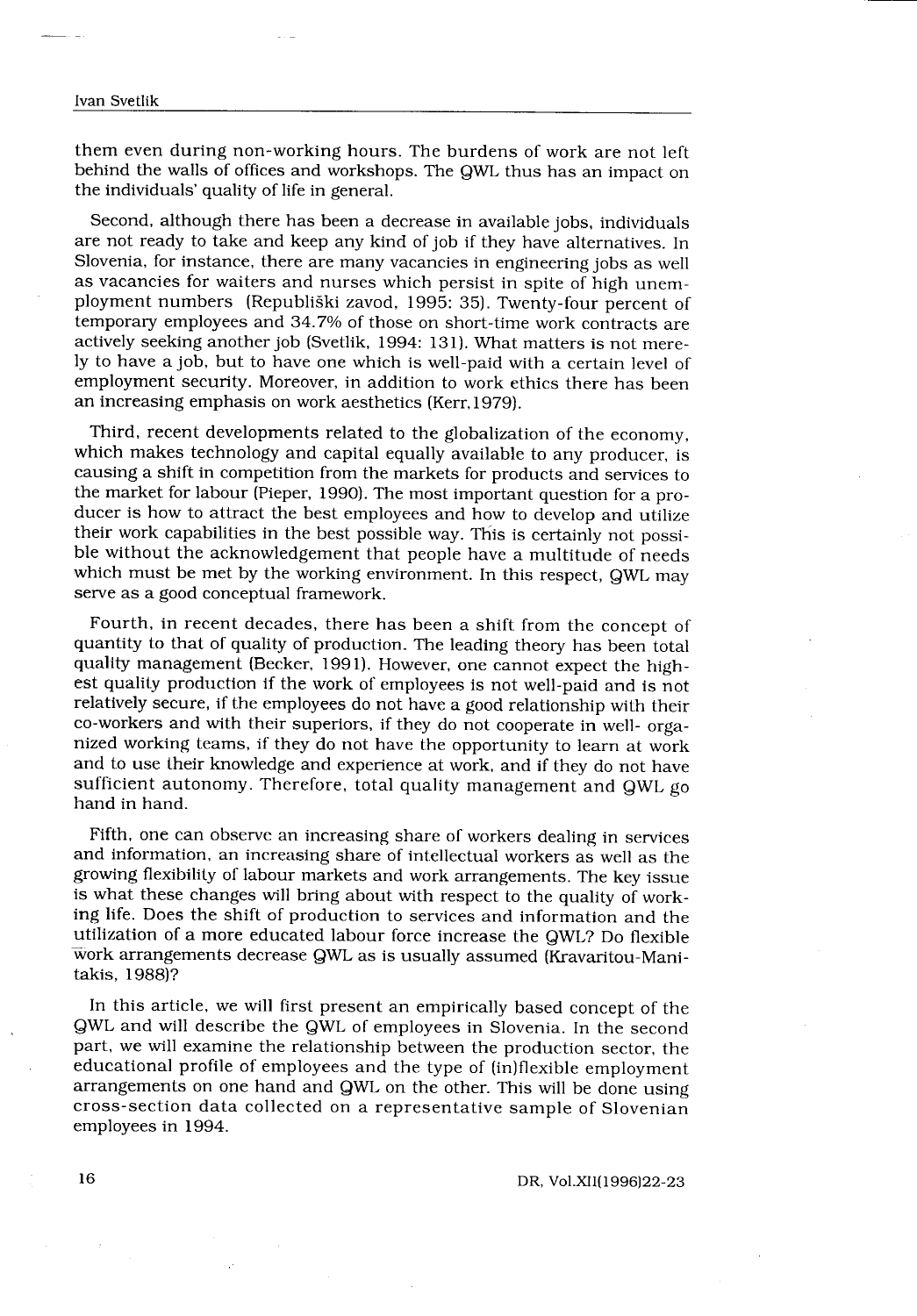### Ivan Svetlik

 

them even during non-working hours . The burdens of work are not left behind the walls of offices and workshops. The QWL thus has an impact on the individuals' quality of life in general .

Second, although there has been a decrease in available jobs, individuals are not ready to take and keep any kind of job if they have alternatives. In Slovenia, for instance, there are many vacancies in engineering jobs as well as vacancies for waiters and nurses which persist in spite of high unemployment numbers (Republiški zavod, 1995: 35). Twenty-four percent of temporary employees and 34 .7% of those on short-time work contracts are actively seeking another job (Svetlik, 1994: 131). What matters is not merely to have a job, but to have one which is well-paid with a certain level of employment security. Moreover, in addition to work ethics there has been an increasing emphasis on work aesthetics (Kerr, 1979) .

Third, recent developments related to the globalization of the economy, which makes technology and capital equally available to any producer, is causing a shift in competition from the markets for products and services to the market for labour (Pieper, 1990) . The most important question for a producer is how to attract the best employees and how to develop and utilize their work capabilities in the best possible way. This is certainly not possible without the acknowledgement that people have a multitude of needs which must be met by the working environment. In this respect, QWL may serve as a good conceptual framework.

Fourth, in recent decades, there has been a shift from the concept of quantity to that of quality of production . The leading theory has been total quality management (Becker, 1991). However, one cannot expect the highest quality production if the work of employees is not well-paid and is not relatively secure, if the employees do not have a good relationship with their co-workers and with their superiors, if they do not cooperate in well- organized working teams, if they do not have the opportunity to learn at work and to use their knowledge and experience at work, and if they do not have sufficient autonomy. Therefore, total quality management and QWL go hand in hand.

Fifth, one can observe an increasing share of workers dealing in services and information, an increasing share of intellectual workers as well as the growing flexibility of labour markets and work arrangements . The key issue is what these changes will bring about with respect to the quality of working life. Does the shift of production to services and information and the utilization of a more educated labour force increase the QWL? Do flexible work arrangements decrease QWL as is usually assumed (Kravaritou-Mani-takis, 1988)?

In this article, we will first present an empirically based concept of the QWL and will describe the QWL of employees in Slovenia . In the second part, we will examine the relationship between the production sector, the educational profile of employees and the type of (in)flexible employment arrangements on one hand and QWL on the other. This will be done using cross-section data collected on a representative sample of Slovenian employees in 1994.

DR, Vol.XII(1996)22-23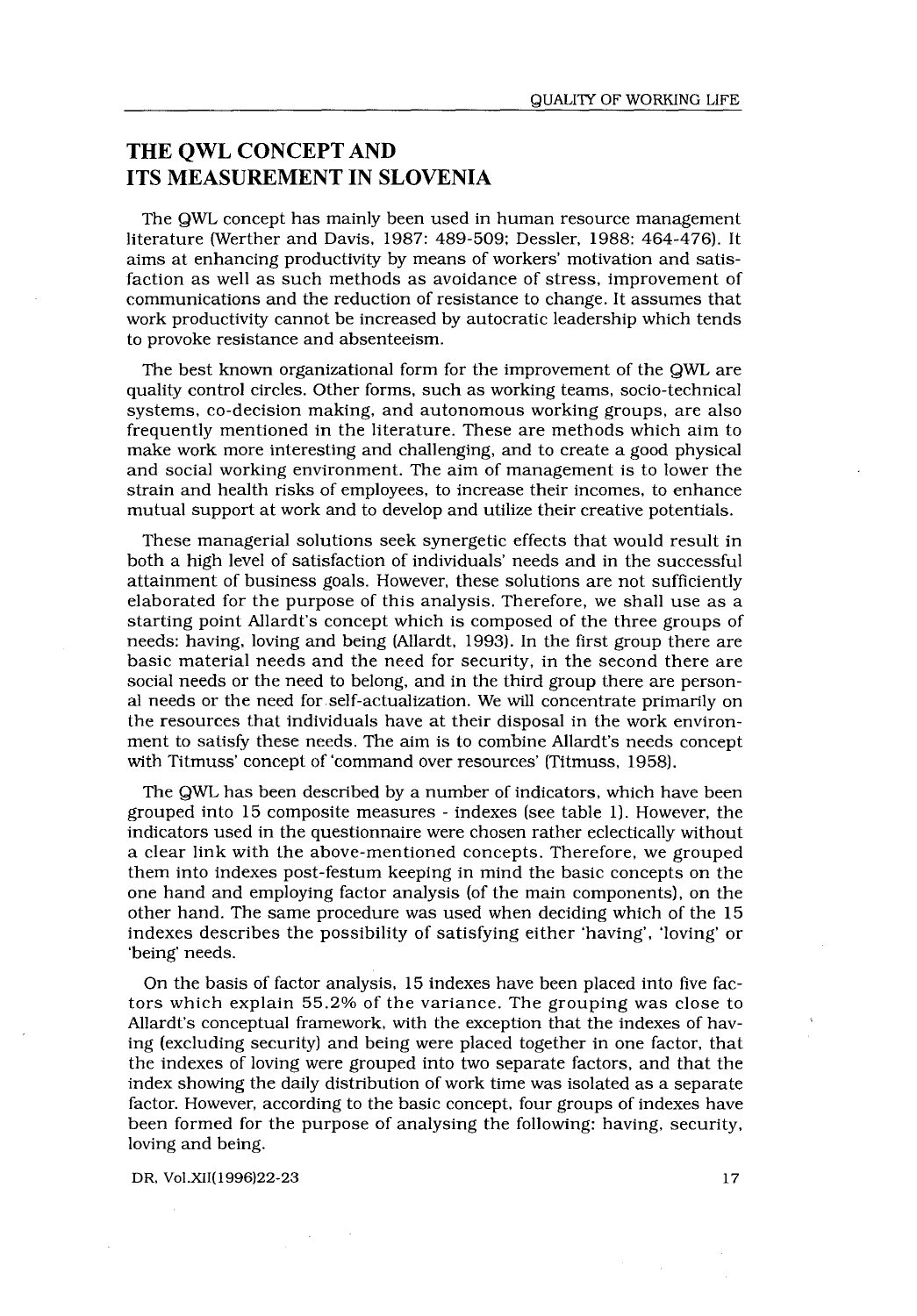# **QUALITY OF WORKING LIFE**<br> **THE QWL CONCEPT AND<br>
ITS MEASUREMENT IN SLOVENIA** THE QWL CONCEPT AND ITS MEASUREMENT IN SLOVENIA

The QWL concept has mainly been used in human resource management literature (Werther and Davis, 1987: 489-509; Dessler, 1988: 464-476). It aims at enhancing productivity by means of workers' motivation and satisfaction as well as such methods as avoidance of stress, improvement of communications and the reduction of resistance to change . It assumes that work productivity cannot be increased by autocratic leadership which tends to provoke resistance and absenteeism.

The best known organizational form for the improvement of the QWL are quality control circles . Other forms, such as working teams, socio-technical systems, co-decision making, and autonomous working groups, are also frequently mentioned in the literature . These are methods which aim to make work more interesting and challenging, and to create a good physical and social working environment. The aim of management is to lower the strain and health risks of employees, to increase their incomes, to enhance mutual support at work and to develop and utilize their creative potentials .

These managerial solutions seek synergetic effects that would result in both a high level of satisfaction of individuals' needs and in the successful attainment of business goals . However, these solutions are not sufficiently elaborated for the purpose of this analysis . Therefore, we shall use as a starting point Allardt's concept which is composed of the three groups of needs: having, loving and being (Allardt, 1993) . In the first group there are basic material needs and the need for security, in the second there are social needs or the need to belong, and in the third group there are personal needs or the need for self-actualization. We will concentrate primarily on the resources that individuals have at their disposal in the work environment to satisfy these needs . The aim is to combine Allardt's needs concept with Titmuss' concept of 'command over resources' (Titmuss, 1958).

The QWL has been described by a number of indicators, which have been grouped into 15 composite measures - indexes (see table 1) . However, the indicators used in the questionnaire were chosen rather eclectically without a clear link with the above-mentioned concepts . Therefore, we grouped them into indexes post-festum keeping in mind the basic concepts on the one hand and employing factor analysis (of the main components), on the other hand. The same procedure was used when deciding which of the 15 indexes describes the possibility of satisfying either 'having', 'loving' or 'being' needs.

On the basis of factor analysis, 15 indexes have been placed into five factors which explain 55 .2% of the variance . The grouping was close to Allardt's conceptual framework, with the exception that the indexes of having (excluding security) and being were placed together in one factor, that the indexes of loving were grouped into two separate factors, and that the index showing the daily distribution of work time was isolated as a separate factor . However, according to the basic concept, four groups of indexes have been formed for the purpose of analysing the following: having, security, loving and being.

DR, Vol.XII(1996)22-23 17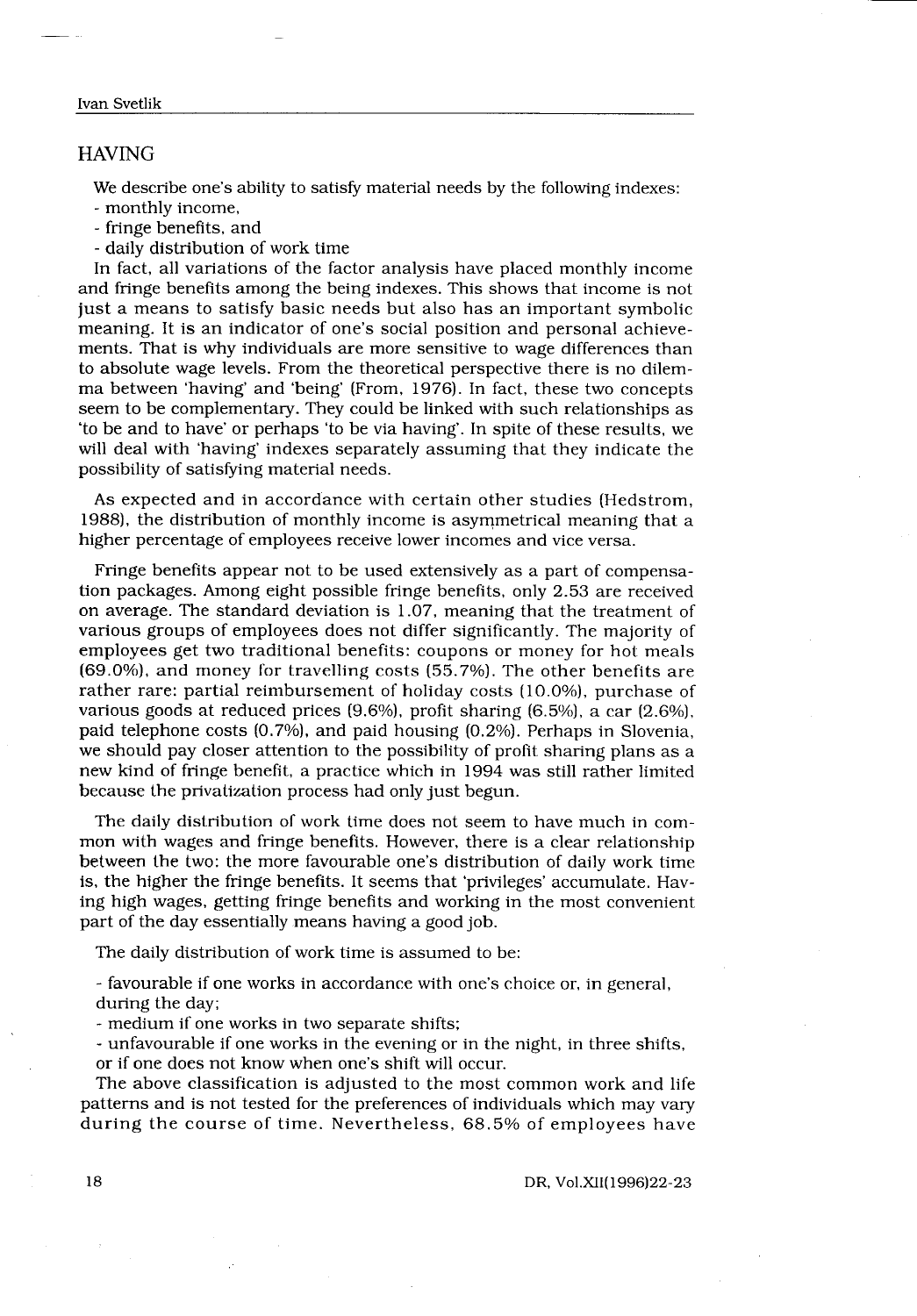#### Ivan Svetlik

 

# HAVING

Svetlik<br>
Svetlik<br>
Svetlik<br>
Svetlik<br>
Svetlik<br>
Svetlik<br>
Svetlik<br>
Svetlik<br>
Svetlik<br>
Svetlik<br>
Svetlik<br>
Svetlik<br>
Svetlik<br>
Svetlik<br>
Svetlik<br>
Svetlik<br>
Svetlik<br>
Svetlik<br>
Svetlik<br>
Svetlik<br>
Svetlik<br>
Svetlik<br>
Svetlik<br>
Svetlik<br>
Svetli We describe one's ability to satisfy material needs by the following indexes:

- monthly income,

- fringe benefits, and

- daily distribution of work time

In fact, all variations of the factor analysis have placed monthly income and fringe benefits among the being indexes . This shows that income is not just a means to satisfy basic needs but also has an important symbolic meaning. It is an indicator of one's social position and personal achievements. That is why individuals are more sensitive to wage differences than to absolute wage levels. From the theoretical perspective there is no dilemma between 'having' and 'being' (From, 1976). In fact, these two concepts seem to be complementary. They could be linked with such relationships as `to be and to have' or perhaps 'to be via having' . In spite of these results, we will deal with 'having' indexes separately assuming that they indicate the possibility of satisfying material needs .

As expected and in accordance with certain other studies (Hedstrom, 1988), the distribution of monthly income is asymmetrical meaning that a higher percentage of employees receive lower incomes and vice versa .

Fringe benefits appear not to be used extensively as a part of compensation packages . Among eight possible fringe benefits, only 2 .53 are received on average . The standard deviation is 1 .07, meaning that the treatment of various groups of employees does not differ significantly . The majority of employees get two traditional benefits: coupons or money for hot meals (69 .0%), and money for travelling costs (55 .7%) . The other benefits are rather rare: partial reimbursement of holiday costs (10.0%), purchase of various goods at reduced prices  $(9.6\%)$ , profit sharing  $(6.5\%)$ , a car  $(2.6\%)$ , paid telephone costs (0.7%), and paid housing (0.2%). Perhaps in Slovenia, we should pay closer attention to the possibility of profit sharing plans as a new kind of fringe benefit, a practice which in 1994 was still rather limited because the privatization process had only just begun.

The daily distribution of work time does not seem to have much in common with wages and fringe benefits . However, there is a clear relationship between the two: the more favourable one's distribution of daily work time is, the higher the fringe benefits . It seems that 'privileges' accumulate . Having high wages, getting fringe benefits and working in the most convenient part of the day essentially means having a good job.

The daily distribution of work time is assumed to be:

- favourable if one works in accordance with one's choice or, in general, during the day;

- medium if one works in two separate shifts ;

- unfavourable if one works in the evening or in the night, in three shifts, or if one does not know when one's shift will occur.

The above classification is adjusted to the most common work and life patterns and is not tested for the preferences of individuals which may vary during the course of time. Nevertheless, 68.5% of employees have

# DR, Vol.XII(1996)22-23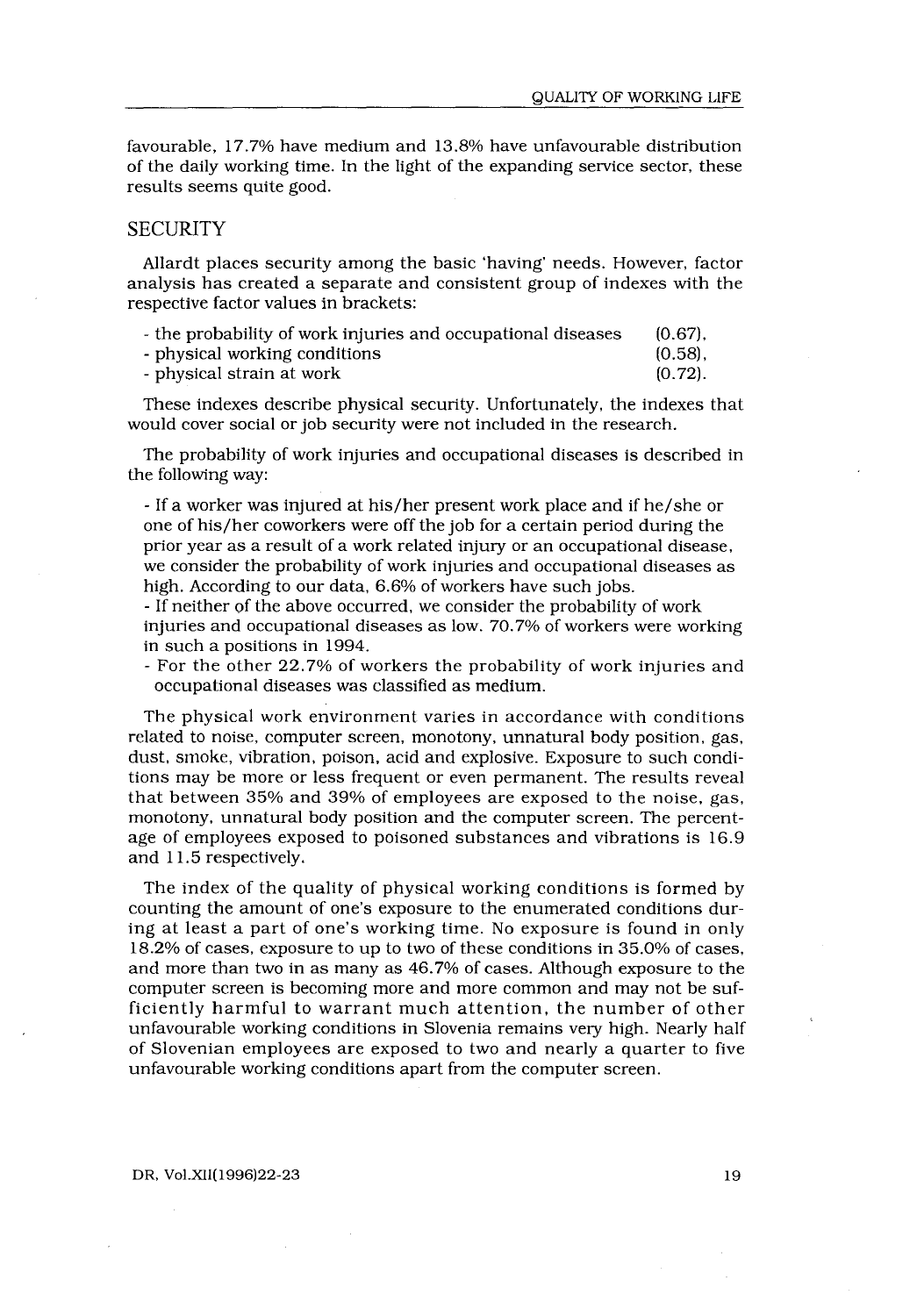favourable, 17 .7% have medium and 13.8% have unfavourable distribution of the daily working time . In the light of the expanding service sector, these results seems quite good. 

# **SECURITY**

Allardt places security among the basic `having' needs . However, factor analysis has created a separate and consistent group of indexes with the respective factor values in brackets :

| - the probability of work injuries and occupational diseases | $(0.67)$ . |
|--------------------------------------------------------------|------------|
| - physical working conditions                                | $(0.58)$ . |

| - physical strain at work | $(0.72)$ . |
|---------------------------|------------|
|---------------------------|------------|

These indexes describe physical security. Unfortunately, the indexes that would cover social or job security were not included in the research.

The probability of work injuries and occupational diseases is described in the following way:

- If a worker was injured at his/her present work place and if he/she or one of his/her coworkers were off the job for a certain period during the prior year as a result of a work related injury or an occupational disease, we consider the probability of work injuries and occupational diseases as high. According to our data, 6.6% of workers have such jobs.

- If neither of the above occurred, we consider the probability of work injuries and occupational diseases as low. 70.7% of workers were working in such a positions in 1994.

- For the other 22 .7% of workers the probability of work injuries and occupational diseases was classified as medium .

The physical work environment varies in accordance with conditions related to noise, computer screen, monotony, unnatural body position, gas, dust, smoke, vibration, poison, acid and explosive. Exposure to such conditions may be more or less frequent or even permanent . The results reveal that between 35% and 39% of employees are exposed to the noise, gas, monotony, unnatural body position and the computer screen. The percentage of employees exposed to poisoned substances and vibrations is 16 .9 and 11.5 respectively.

The index of the quality of physical working conditions is formed by counting the amount of one's exposure to the enumerated conditions during at least a part of one's working time. No exposure is found in only 18 .2% of cases, exposure to up to two of these conditions in 35 .0% of cases, and more than two in as many as 46 .7% of cases . Although exposure to the computer screen is becoming more and more common and may not be sufficiently harmful to warrant much attention, the number of other unfavourable working conditions in Slovenia remains very high. Nearly half of Slovenian employees are exposed to two and nearly a quarter to five unfavourable working conditions apart from the computer screen .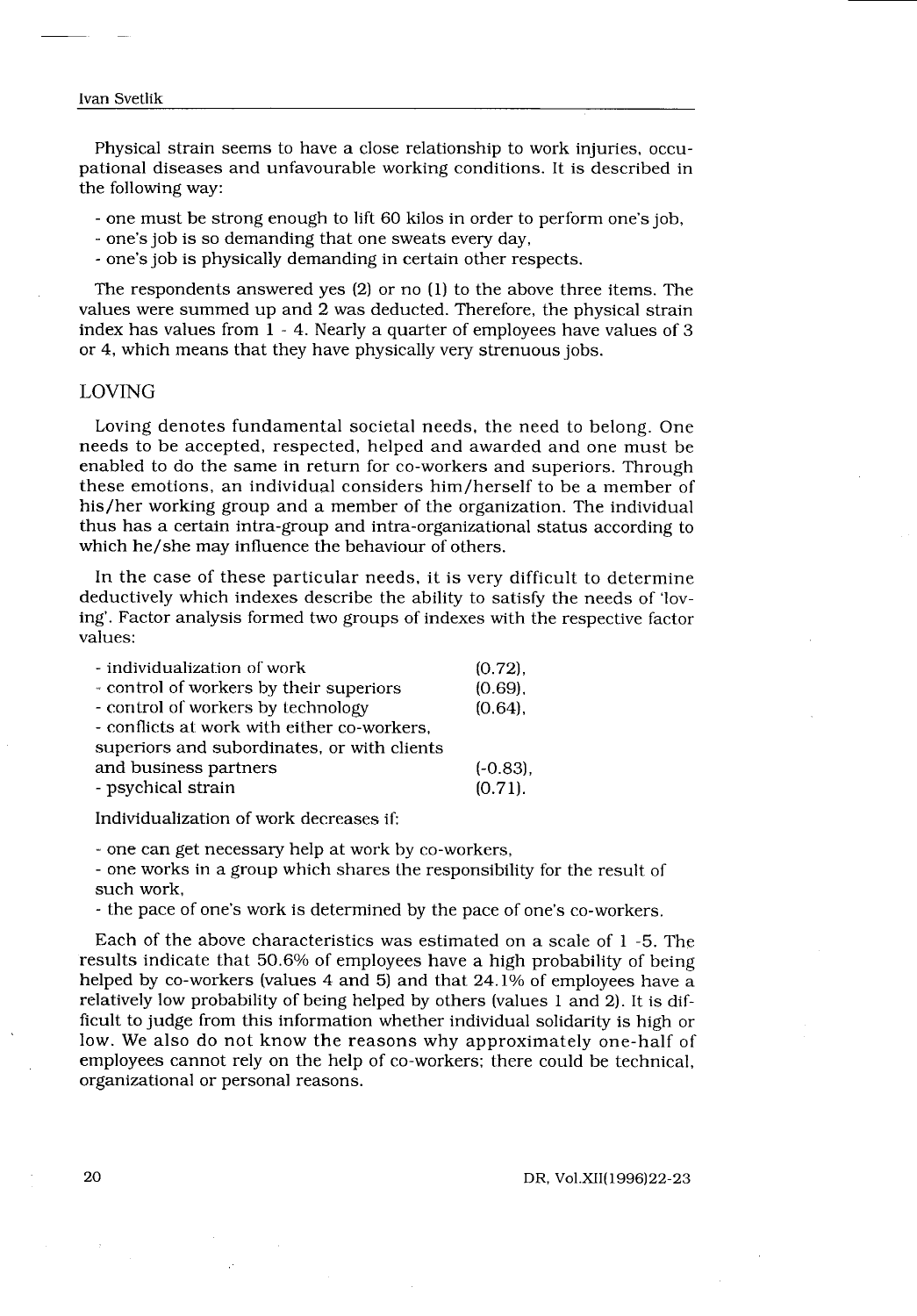# Ivan Svetlik  $\begin{tabular}{c} \hline \rule[0.2cm]{0cm}{0.2cm} \rule[0.2cm]{0cm}{0.2cm} \rule[0.2cm]{0cm}{0.2cm} \rule[0.2cm]{0cm}{0.2cm} \rule[0.2cm]{0cm}{0.2cm} \rule[0.2cm]{0cm}{0.2cm} \rule[0.2cm]{0cm}{0.2cm} \rule[0.2cm]{0cm}{0.2cm} \rule[0.2cm]{0cm}{0.2cm} \rule[0.2cm]{0cm}{0.2cm} \rule[0.2cm]{0cm}{0.2cm} \rule[0.2cm]{0cm}{0.2cm} \rule[0.2cm]{0cm}{0.2cm} \$

 $\sim$ 

Physical strain seems to have a close relationship to work injuries, occupational diseases and unfavourable working conditions . It is described in the following way:

- one must be strong enough to lift 60 kilos in order to perform one's job,

- one's job is so demanding that one sweats every day,
- one's job is physically demanding in certain other respects .

The respondents answered yes (2) or no (1) to the above three items . The values were summed up and 2 was deducted. Therefore, the physical strain index has values from 1 - 4 . Nearly a quarter of employees have values of 3 or 4, which means that they have physically very strenuous jobs .

# LOVING

Loving denotes fundamental societal needs, the need to belong. One needs to be accepted, respected, helped and awarded and one must be enabled to do the same in return for co-workers and superiors . Through these emotions, an individual considers him/herself to be a member of his/her working group and a member of the organization . The individual thus has a certain intra-group and intra-organizational status according to which he/she may influence the behaviour of others.

In the case of these particular needs, it is very difficult to determine deductively which indexes describe the ability to satisfy the needs of 'loving'. Factor analysis formed two groups of indexes with the respective factor values:

| - individualization of work                 | $(0.72)$ ,  |
|---------------------------------------------|-------------|
| - control of workers by their superiors     | $(0.69)$ .  |
| - control of workers by technology          | (0.64),     |
| - conflicts at work with either co-workers. |             |
| superiors and subordinates, or with clients |             |
| and business partners                       | $(-0.83)$ . |
| - psychical strain                          | $(0.71)$ .  |

Individualization of work decreases if:

- one can get necessary help at work by co-workers,

- one works in a group which shares the responsibility for the result of such work,

- the pace of one's work is determined by the pace of one's co-workers .

Each of the above characteristics was estimated on a scale of 1 -5 . The results indicate that 50 .6% of employees have a high probability of being helped by co-workers (values 4 and 5) and that 24.1% of employees have a relatively low probability of being helped by others (values 1 and 2) . It is difficult to judge from this information whether individual solidarity is high or low. We also do not know the reasons why approximately one-half of employees cannot rely on the help of co-workers; there could be technical, organizational or personal reasons.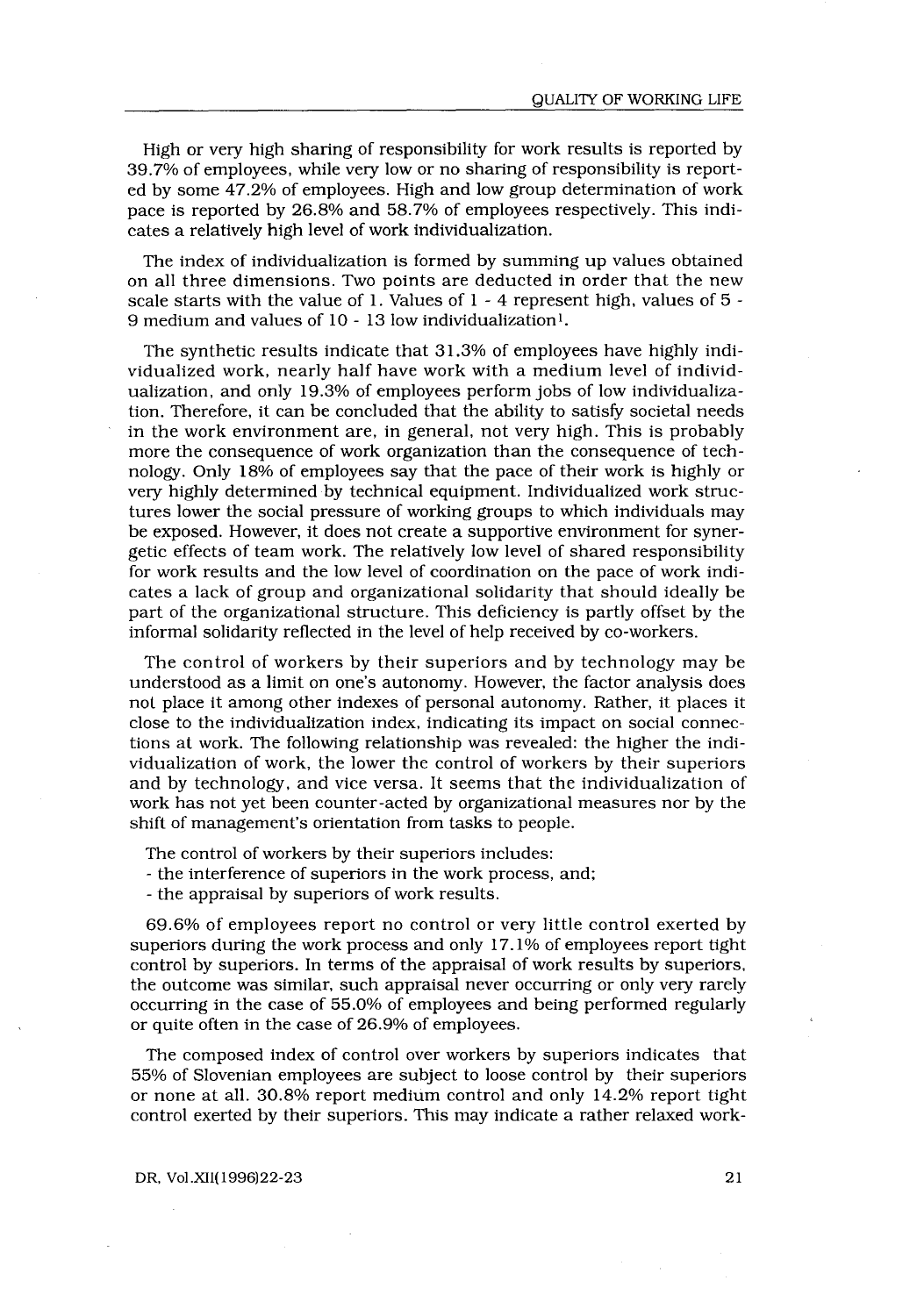High or very high sharing of responsibility for work results is reported by 39 .7% of employees, while very low or no sharing of responsibility is reported by some 47 .2% of employees . High and low group determination of work pace is reported by 26 .8% and 58.7% of employees respectively . This indicates a relatively high level of work individualization.

The index of individualization is formed by summing up values obtained on all three dimensions. Two points are deducted in order that the new scale starts with the value of 1 . Values of 1 - 4 represent high, values of 5 - 9 medium and values of 10 - 13 low individualization' .

The synthetic results indicate that 31 .3% of employees have highly individualized work, nearly half have work with a medium level of individualization, and only 19 .3% of employees perform jobs of low individualization. Therefore, it can be concluded that the ability to satisfy societal needs in the work environment are, in general, not very high. This is probably more the consequence of work organization than the consequence of technology. Only 18% of employees say that the pace of their work is highly or very highly determined by technical equipment. Individualized work structures lower the social pressure of working groups to which individuals may be exposed. However, it does not create a supportive environment for synergetic effects of team work . The relatively low level of shared responsibility for work results and the low level of coordination on the pace of work indicates a lack of group and organizational solidarity that should ideally be part of the organizational structure. This deficiency is partly offset by the informal solidarity reflected in the level of help received by co-workers .

The control of workers by their superiors and by technology may be understood as a limit on one's autonomy . However, the factor analysis does not place it among other indexes of personal autonomy . Rather, it places it close to the individualization index, indicating its impact on social connections at work. The following relationship was revealed: the higher the individualization of work, the lower the control of workers by their superiors and by technology, and vice versa . It seems that the individualization of work has not yet been counter-acted by organizational measures nor by the shift of management's orientation from tasks to people .

The control of workers by their superiors includes:

- the interference of superiors in the work process, and ;

- the appraisal by superiors of work results .

69.6% of employees report no control or very little control exerted by superiors during the work process and only 17 .1% of employees report tight control by superiors. In terms of the appraisal of work results by superiors, the outcome was similar, such appraisal never occurring or only very rarely occurring in the case of 55 .0% of employees and being performed regularly or quite often in the case of 26 .9% of employees .

The composed index of control over workers by superiors indicates that 55% of Slovenian employees are subject to loose control by their superiors or none at all. 30.8% report medium control and only 14.2% report tight control exerted by their superiors . This may indicate a rather relaxed work-

DR, Vol .XII(1996)22-23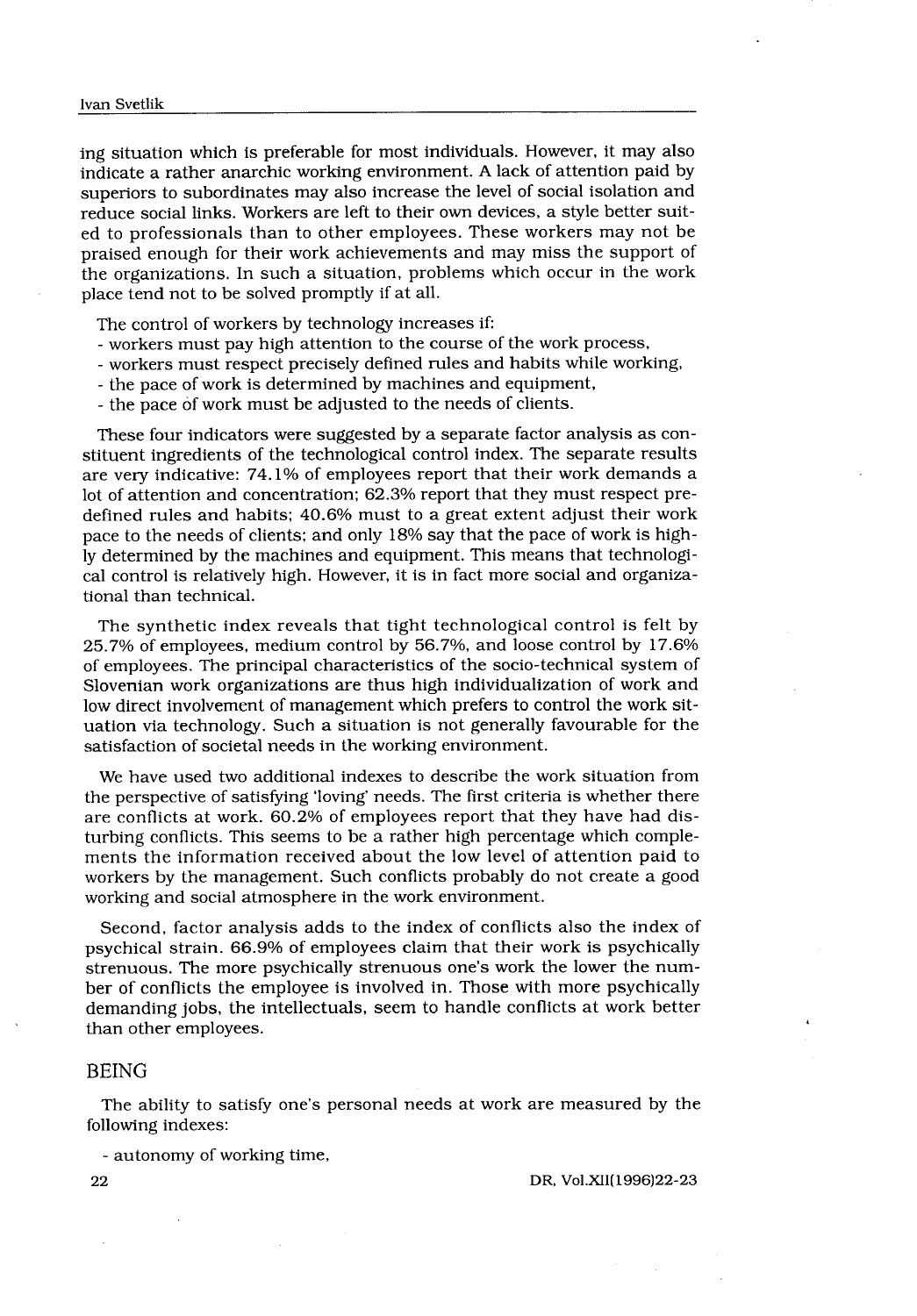ing situation which is preferable for most individuals . However, it may also indicate a rather anarchic working environment. A lack of attention paid by superiors to subordinates may also increase the level of social isolation and reduce social links. Workers are left to their own devices, a style better suited to professionals than to other employees . These workers may not be praised enough for their work achievements and may miss the support of the organizations . In such a situation, problems which occur in the work place tend not to be solved promptly if at all.

The control of workers by technology increases if:

- workers must pay high attention to the course of the work process,
- workers must respect precisely defined rules and habits while working,
- the pace of work is determined by machines and equipment,
- the pace of work must be adjusted to the needs of clients .

These four indicators were suggested by a separate factor analysis as constituent ingredients of the technological control index . The separate results are very indicative: 74.1% of employees report that their work demands a lot of attention and concentration; 62.3% report that they must respect predefined rules and habits;  $40.6\%$  must to a great extent adjust their work pace to the needs of clients; and only 18% say that the pace of work is highly determined by the machines and equipment . This means that technological control is relatively high. However, it is in fact more social and organizational than technical.

The synthetic index reveals that tight technological control is felt by 25.7% of employees, medium control by 56 .7%, and loose control by 17 .6% of employees. The principal characteristics of the socio-technical system of Slovenian work organizations are thus high individualization of work and low direct involvement of management which prefers to control the work situation via technology . Such a situation is not generally favourable for the satisfaction of societal needs in the working environment.

We have used two additional indexes to describe the work situation from the perspective of satisfying 'loving' needs. The first criteria is whether there are conflicts at work . 60 .2% of employees report that they have had disturbing conflicts . This seems to be a rather high percentage which complements the information received about the low level of attention paid to workers by the management. Such conflicts probably do not create a good working and social atmosphere in the work environment.

Second, factor analysis adds to the index of conflicts also the index of psychical strain. 66.9% of employees claim that their work is psychically strenuous . The more psychically strenuous one's work the lower the number of conflicts the employee is involved in . Those with more psychically demanding jobs, the intellectuals, seem to handle conflicts at work better than other employees.

# BEING

The ability to satisfy one's personal needs at work are measured by the following indexes:

- autonomy of working time,

DR, Vol .XII(1996)22-23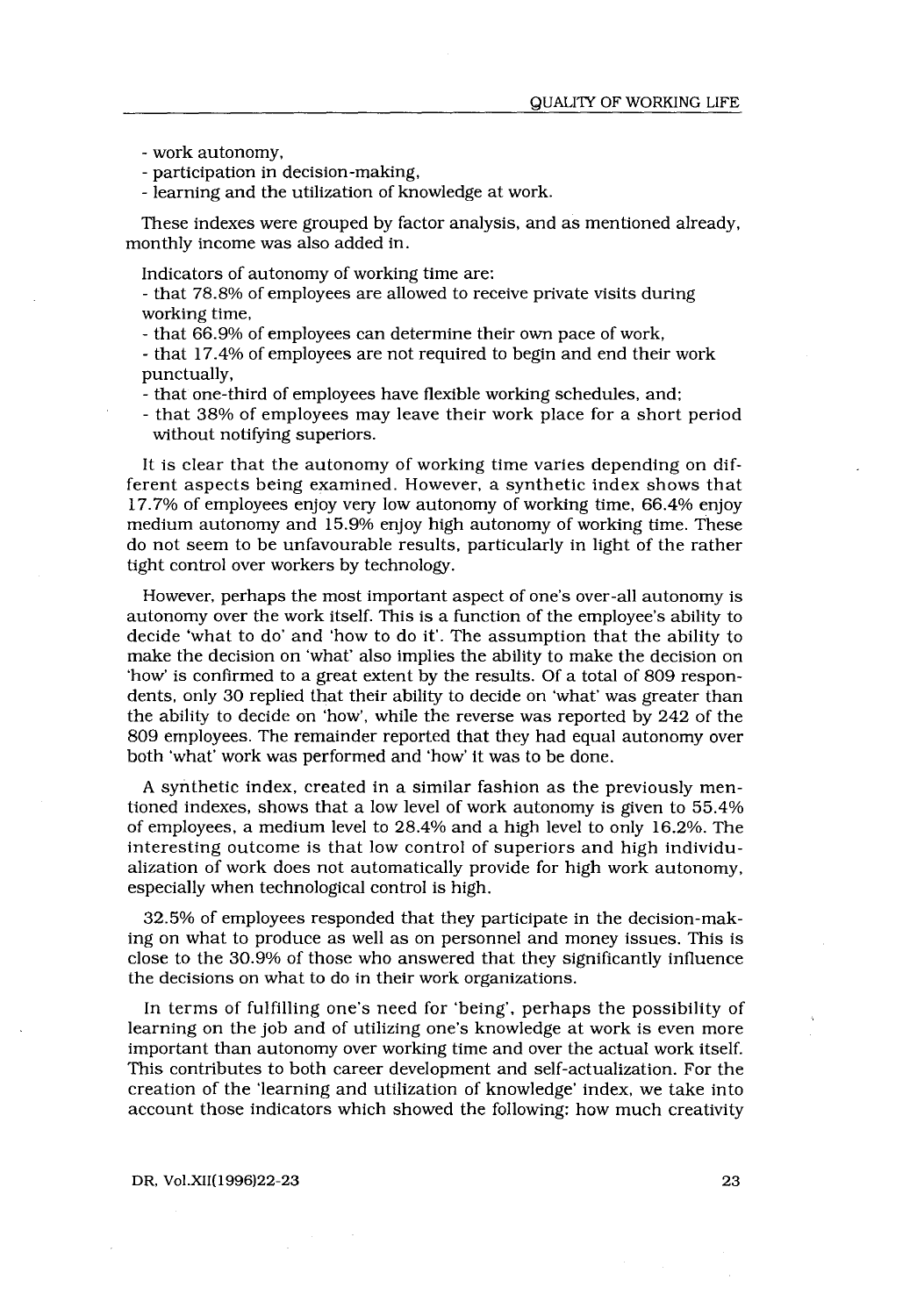- work autonomy,

- participation in decision-making,
- learning and the utilization of knowledge at work .

These indexes were grouped by factor analysis, and as mentioned already, monthly income was also added in.

Indicators of autonomy of working time are :

- that 78 .8% of employees are allowed to receive private visits during working time,

- that 66.9% of employees can determine their own pace of work,

- that 17 .4% of employees are not required to begin and end their work punctually,

- that one-third of employees have flexible working schedules, and ;

- that 38% of employees may leave their work place for a short period without notifying superiors.

It is clear that the autonomy of working time varies depending on different aspects being examined. However, a synthetic index shows that 17.7% of employees enjoy very low autonomy of working time, 66 .4% enjoy medium autonomy and 15.9% enjoy high autonomy of working time. These do not seem to be unfavourable results, particularly in light of the rather tight control over workers by technology .

However, perhaps the most important aspect of one's over-all autonomy is autonomy over the work itself. This is a function of the employee's ability to decide 'what to do' and 'how to do it' . The assumption that the ability to make the decision on 'what' also implies the ability to make the decision on 'how' is confirmed to a great extent by the results . Of a total of 809 respondents, only 30 replied that their ability to decide on 'what' was greater than the ability to decide on 'how', while the reverse was reported by 242 of the 809 employees. The remainder reported that they had equal autonomy over both 'what' work was performed and 'how' it was to be done .

A synthetic index, created in a similar fashion as the previously mentioned indexes, shows that a low level of work autonomy is given to 55 .4% of employees, a medium level to 28 .4% and a high level to only 16 .2%. The interesting outcome is that low control of superiors and high individualization of work does not automatically provide for high work autonomy, especially when technological control is high.

32.5% of employees responded that they participate in the decision-making on what to produce as well as on personnel and money issues . This is close to the 30 .9% of those who answered that they significantly influence the decisions on what to do in their work organizations .

In terms of fulfilling one's need for 'being', perhaps the possibility of learning on the job and of utilizing one's knowledge at work is even more important than autonomy over working time and over the actual work itself. This contributes to both career development and self-actualization . For the creation of the 'learning and utilization of knowledge' index, we take into account those indicators which showed the following: how much creativity

# DR, Vol .XII(1996)22-23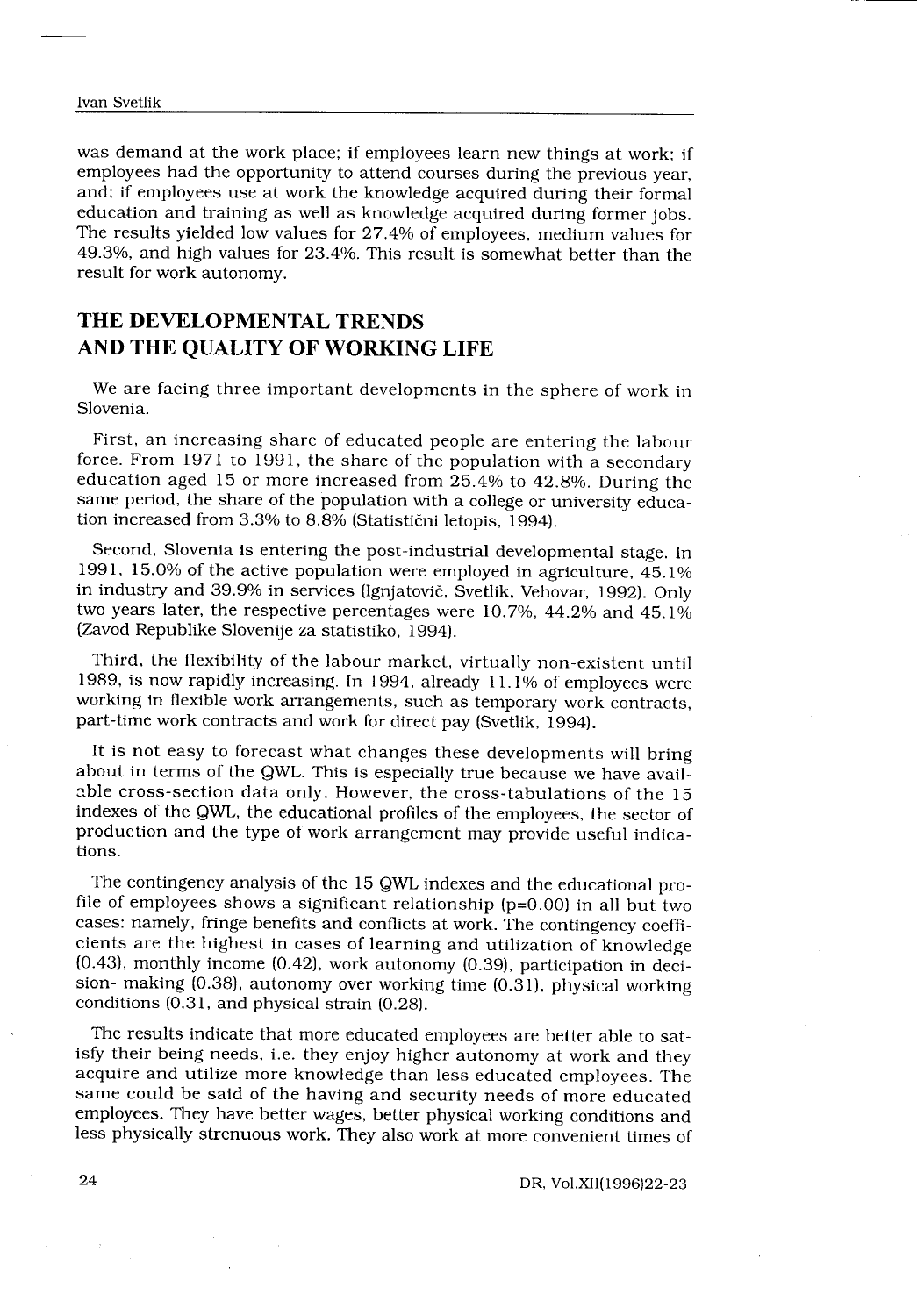$\sim$ 

was demand at the work place; if employees learn new things at work; if employees had the opportunity to attend courses during the previous year, and; if employees use at work the knowledge acquired during their formal education and training as well as knowledge acquired during former jobs . The results yielded low values for 27 .4% of employees, medium values for 49.3%, and high values for 23 .4%. This result is somewhat better than the result for work autonomy .

# THE DEVELOPMENTAL TRENDS AND THE QUALITY OF WORKING LIFE

We are facing three important developments in the sphere of work in Slovenia.

First, an increasing share of educated people are entering the labour force . From 1971 to 1991, the share of the population with a secondary education aged 15 or more increased from 25 .4% to 42 .8% . During the same period, the share of the population with a college or university education increased from 3.3% to 8.8% (Statistični letopis, 1994).

Second, Slovenia is entering the post-industrial developmental stage. In 1991, 15.0% of the active population were employed in agriculture, 45 .1% in industry and 39 .9% in services (Ignjatovič, Svetlik, Vehovar, 1992) . Only two years later, the respective percentages were 10.7%, 44.2% and 45.1% (Zavod Republike Slovenije za statistiko, 1994) .

Third, the flexibility of the labour market, virtually non-existent until 1989, is now rapidly increasing . In 1994, already 11 .1% of employees were working in flexible work arrangements, such as temporary work contracts, part-time work contracts and work for direct pay (Svetlik, 1994).

It is not easy to forecast what changes these developments will bring about in terms of the QWL. This is especially true because we have available cross-section data only. However, the cross-tabulations of the 15 indexes of the QWL, the educational profiles of the employees, the sector of production and the type of work arrangement may provide useful indications.

The contingency analysis of the 15 QWL indexes and the educational profile of employees shows a significant relationship ( $p=0.00$ ) in all but two cases : namely, fringe benefits and conflicts at work . The contingency coefficients are the highest in cases of learning and utilization of knowledge  $(0.43)$ , monthly income  $(0.42)$ , work autonomy  $(0.39)$ , participation in decision- making (0.38), autonomy over working time (0.31), physical working conditions (0.31, and physical strain (0.28).

The results indicate that more educated employees are better able to satisfy their being needs, i.e. they enjoy higher autonomy at work and they acquire and utilize more knowledge than less educated employees. The same could be said of the having and security needs of more educated employees. They have better wages, better physical working conditions and less physically strenuous work . They also work at more convenient times of

DR, Vol .XII(1996)22-23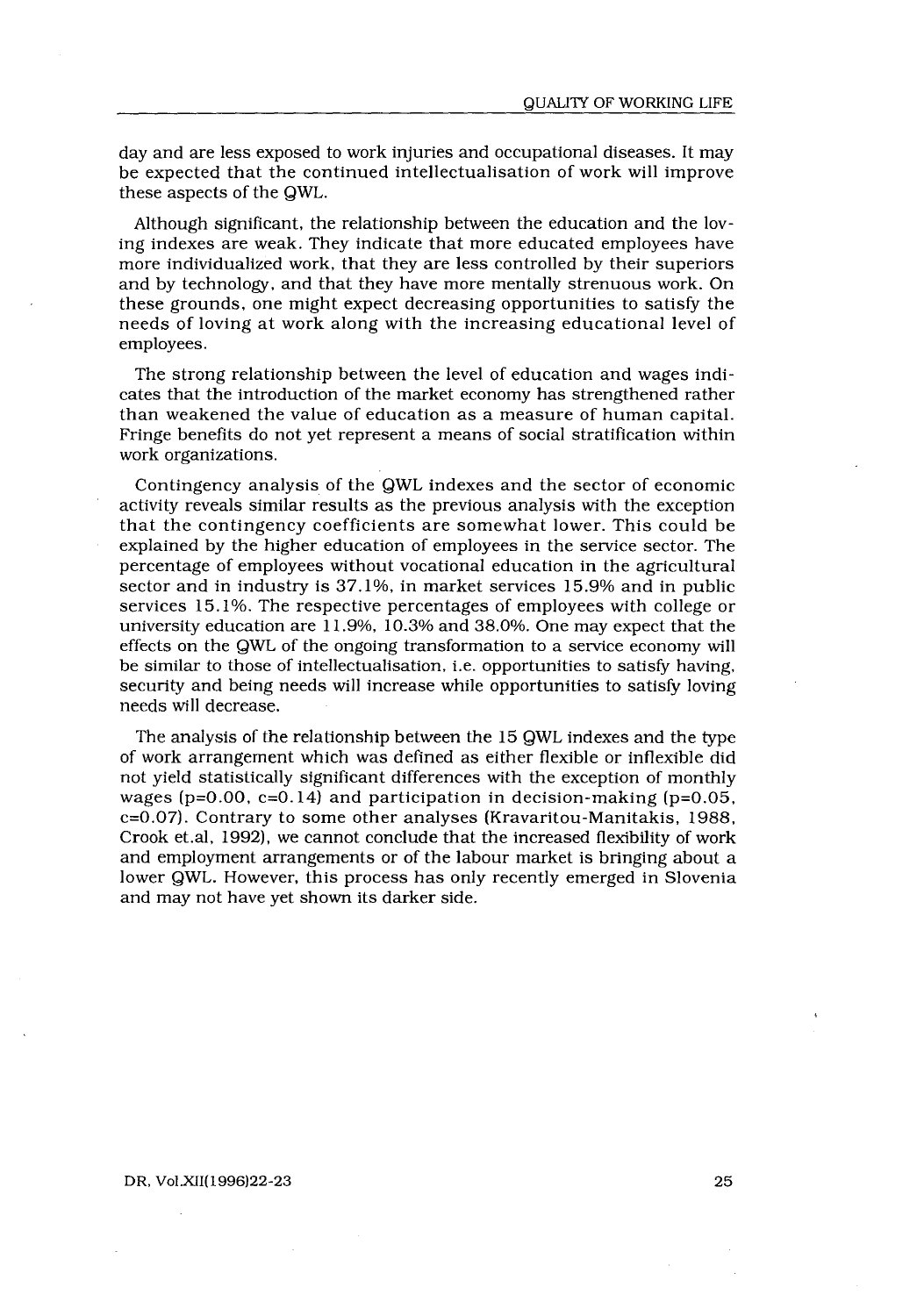day and are less exposed to work injuries and occupational diseases . It may be expected that the continued intellectualisation of work will improve these aspects of the QWL.

Although significant, the relationship between the education and the loving indexes are weak . They indicate that more educated employees have more individualized work, that they are less controlled by their superiors and by technology, and that they have more mentally strenuous work . On these grounds, one might expect decreasing opportunities to satisfy the needs of loving at work along with the increasing educational level of employees .

The strong relationship between the level of education and wages indicates that the introduction of the market economy has strengthened rather than weakened the value of education as a measure of human capital . Fringe benefits do not yet represent a means of social stratification within work organizations.

Contingency analysis of the QWL indexes and the sector of economic activity reveals similar results as the previous analysis with the exception that the contingency coefficients are somewhat lower. This could be explained by the higher education of employees in the service sector . The percentage of employees without vocational education in the agricultural sector and in industry is 37 .1%, in market services 15 .9% and in public services 15 .1%. The respective percentages of employees with college or university education are 11 .9%, 10 .3% and 38 .0%. One may expect that the effects on the QWL of the ongoing transformation to a service economy will be similar to those of intellectualisation, i.e. opportunities to satisfy having, security and being needs will increase while opportunities to satisfy loving needs will decrease.

The analysis of the relationship between the 15 QWL indexes and the type of work arrangement which was defined as either flexible or inflexible did not yield statistically significant differences with the exception of monthly wages ( $p=0.00$ ,  $c=0.14$ ) and participation in decision-making ( $p=0.05$ , c=0.07) . Contrary to some other analyses (Kravaritou-Manitakis, 1988, Crook et .al, 1992), we cannot conclude that the increased flexibility of work and employment arrangements or of the labour market is bringing about a lower QWL. However, this process has only recently emerged in Slovenia and may not have yet shown its darker side.

### DR, Vol.XII(1996) 22-23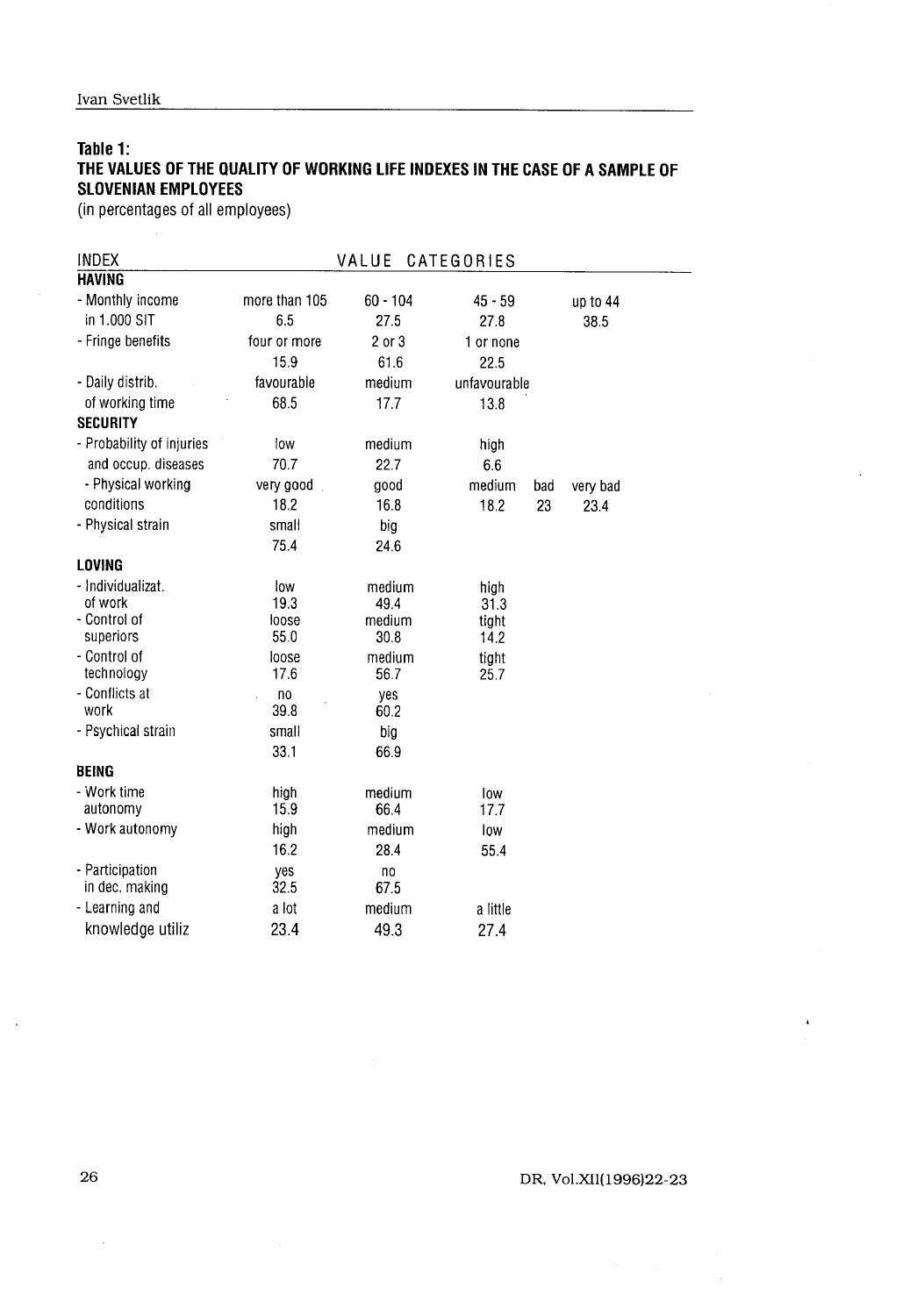# Table 1: THE VALUES OF THE QUALITY OF WORKING LIFE INDEXES IN THE CASE OF A SAMPLE OF SLOVENIAN EMPLOYEES

| Table 1:<br>THE VALUES OF THE QUALITY OF WORKING LIFE INDEXES IN THE CASE OF A SAMPLE OF |                      |                  |                 |           |                  |  |  |  |  |
|------------------------------------------------------------------------------------------|----------------------|------------------|-----------------|-----------|------------------|--|--|--|--|
| <b>SLOVENIAN EMPLOYEES</b><br>(in percentages of all employees)                          |                      |                  |                 |           |                  |  |  |  |  |
|                                                                                          |                      |                  |                 |           |                  |  |  |  |  |
| <b>INDEX</b><br><b>HAVING</b>                                                            | VALUE<br>CATEGORIES  |                  |                 |           |                  |  |  |  |  |
|                                                                                          | more than 105        |                  |                 |           |                  |  |  |  |  |
| - Monthly income<br>in 1.000 SIT                                                         | 6.5                  | 60 - 104<br>27.5 | 45 - 59<br>27.8 |           | up to 44<br>38.5 |  |  |  |  |
| - Fringe benefits                                                                        |                      |                  |                 |           |                  |  |  |  |  |
|                                                                                          | four or more<br>15.9 | 2 or 3<br>61.6   | 1 or none       |           |                  |  |  |  |  |
|                                                                                          | favourable           | medium           | 22.5            |           |                  |  |  |  |  |
| - Daily distrib.<br>of working time                                                      | 68.5                 |                  | unfavourable    |           |                  |  |  |  |  |
| <b>SECURITY</b>                                                                          |                      | 17.7             | 13.8            |           |                  |  |  |  |  |
| - Probability of injuries                                                                |                      | medium           |                 |           |                  |  |  |  |  |
| and occup. diseases                                                                      | low<br>70.7          | 22.7             | high<br>6.6     |           |                  |  |  |  |  |
| - Physical working                                                                       |                      |                  | medium          |           |                  |  |  |  |  |
| conditions                                                                               | very good.<br>18.2   | good<br>16.8     | 18.2            | bad<br>23 | very bad         |  |  |  |  |
| - Physical strain                                                                        | small                | big              |                 |           | 23.4             |  |  |  |  |
|                                                                                          | 75.4                 | 24.6             |                 |           |                  |  |  |  |  |
| LOVING                                                                                   |                      |                  |                 |           |                  |  |  |  |  |
| - Individualizat.                                                                        | low                  |                  |                 |           |                  |  |  |  |  |
| of work                                                                                  | 19.3                 | medium<br>49.4   | high<br>31.3    |           |                  |  |  |  |  |
| - Control of                                                                             | loose                | medium           | tight           |           |                  |  |  |  |  |
| superiors                                                                                | 55.0                 | 30.8             | 14.2            |           |                  |  |  |  |  |
| - Control of                                                                             | loose                | medium           | tight           |           |                  |  |  |  |  |
| technology                                                                               | 17.6                 | 56.7             | 25.7            |           |                  |  |  |  |  |
| - Conflicts at                                                                           | no                   | yes              |                 |           |                  |  |  |  |  |
| work                                                                                     | 39.8                 | 60.2             |                 |           |                  |  |  |  |  |
| - Psychical strain                                                                       | small                | big              |                 |           |                  |  |  |  |  |
|                                                                                          | 33.1                 | 66.9             |                 |           |                  |  |  |  |  |
| <b>BEING</b>                                                                             |                      |                  |                 |           |                  |  |  |  |  |
| - Work time                                                                              | high                 | medium           | low             |           |                  |  |  |  |  |
| autonomy                                                                                 | 15.9                 | 66.4             | 17.7            |           |                  |  |  |  |  |
| - Work autonomy                                                                          | high                 | medium           | low             |           |                  |  |  |  |  |
|                                                                                          | 16.2                 | 28.4             | 55.4            |           |                  |  |  |  |  |
| - Participation<br>in dec. making                                                        | yes<br>32.5          | no<br>675        |                 |           |                  |  |  |  |  |
| - Learning and                                                                           | a lot                | medium           | a little        |           |                  |  |  |  |  |
| knowledge utiliz                                                                         |                      |                  |                 |           |                  |  |  |  |  |
|                                                                                          | 23.4                 | 49.3             | 27.4            |           |                  |  |  |  |  |